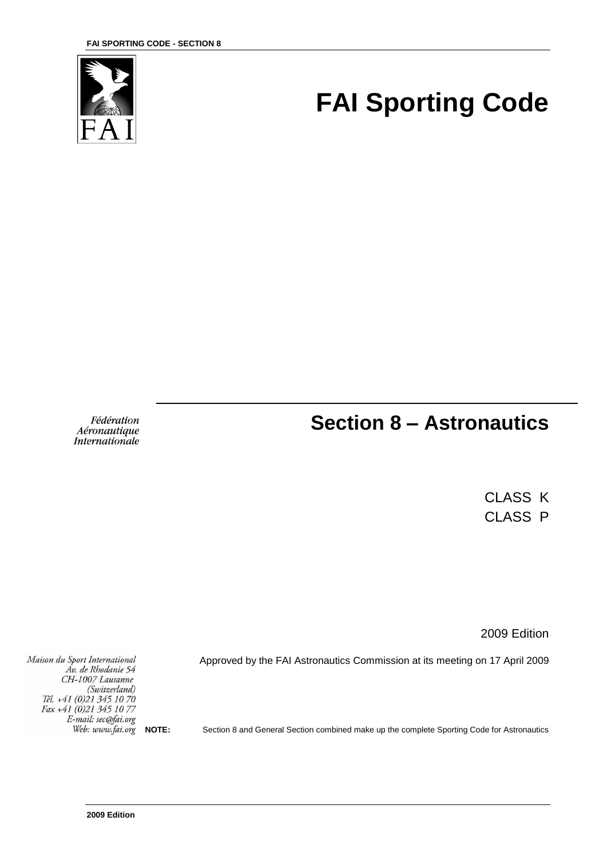

# **FAI Sporting Code**

Fédération Aéronautique **Internationale** 

## **Section 8 – Astronautics**

CLASS K CLASS P

2009 Edition

Approved by the FAI Astronautics Commission at its meeting on 17 April 2009

Maison du Sport International Áv. de Rhodanie 54 CH-1007 Lausanne (Switzerland)<br>Tél. +41 (0)21 345 10 70 Fax +41 (0)21 345 10 77 E-mail: sec@fai.org Web: www.fai.org

**NOTE:** Section 8 and General Section combined make up the complete Sporting Code for Astronautics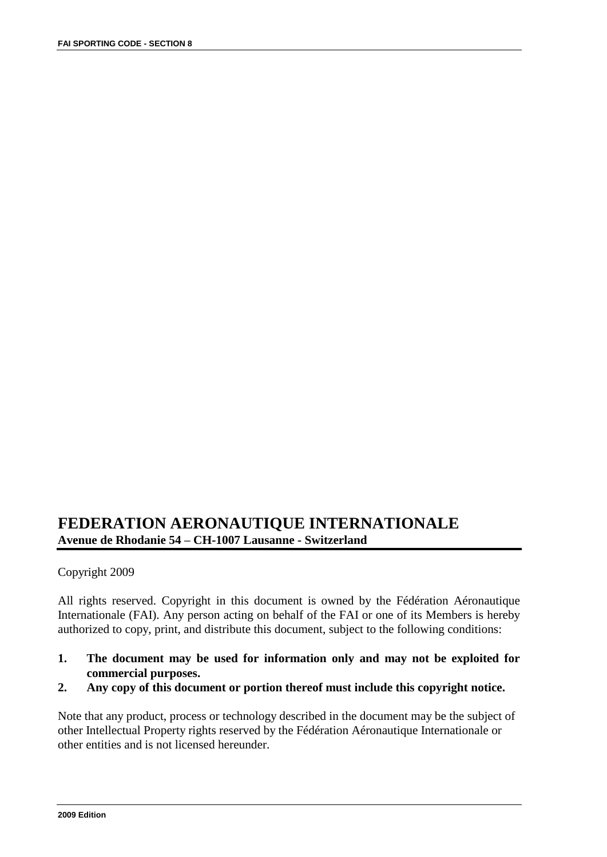### **FEDERATION AERONAUTIQUE INTERNATIONALE Avenue de Rhodanie 54 – CH-1007 Lausanne - Switzerland**

#### Copyright 2009

All rights reserved. Copyright in this document is owned by the Fédération Aéronautique Internationale (FAI). Any person acting on behalf of the FAI or one of its Members is hereby authorized to copy, print, and distribute this document, subject to the following conditions:

- **1. The document may be used for information only and may not be exploited for commercial purposes.**
- **2. Any copy of this document or portion thereof must include this copyright notice.**

Note that any product, process or technology described in the document may be the subject of other Intellectual Property rights reserved by the Fédération Aéronautique Internationale or other entities and is not licensed hereunder.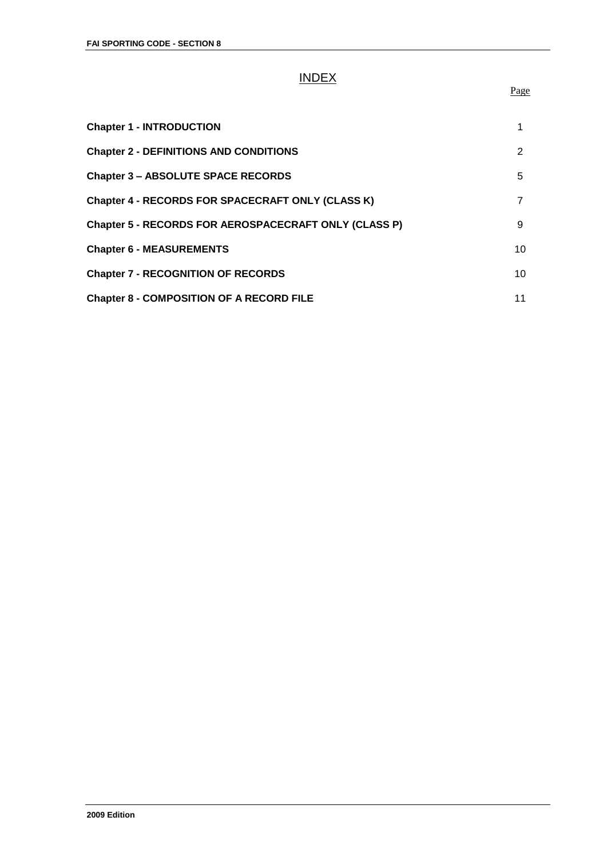## INDEX

#### Page

| <b>Chapter 1 - INTRODUCTION</b>                       |    |
|-------------------------------------------------------|----|
| <b>Chapter 2 - DEFINITIONS AND CONDITIONS</b>         | 2  |
| <b>Chapter 3 - ABSOLUTE SPACE RECORDS</b>             | 5  |
| Chapter 4 - RECORDS FOR SPACECRAFT ONLY (CLASS K)     | 7  |
| Chapter 5 - RECORDS FOR AEROSPACECRAFT ONLY (CLASS P) | 9  |
| <b>Chapter 6 - MEASUREMENTS</b>                       | 10 |
| <b>Chapter 7 - RECOGNITION OF RECORDS</b>             | 10 |
| <b>Chapter 8 - COMPOSITION OF A RECORD FILE</b>       | 11 |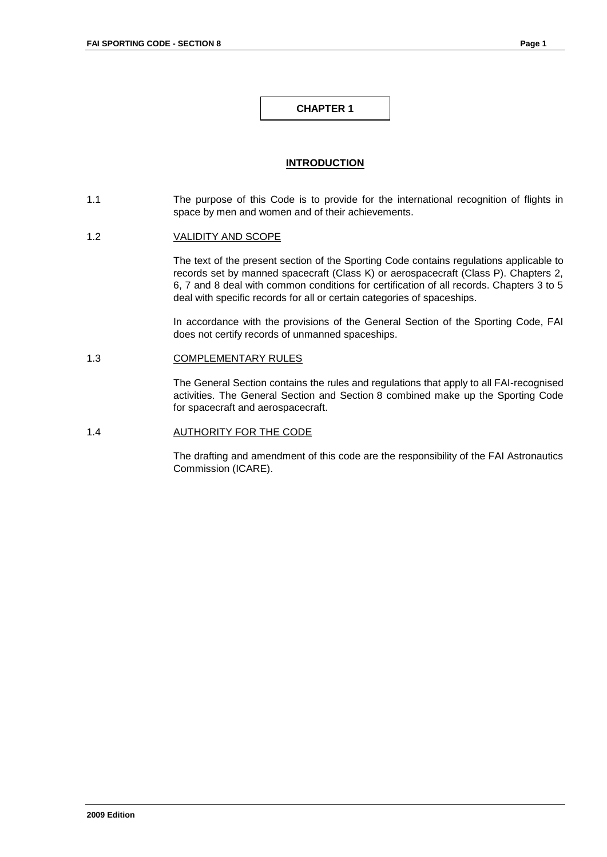#### **INTRODUCTION**

1.1 The purpose of this Code is to provide for the international recognition of flights in space by men and women and of their achievements.

#### 1.2 VALIDITY AND SCOPE

The text of the present section of the Sporting Code contains regulations applicable to records set by manned spacecraft (Class K) or aerospacecraft (Class P). Chapters 2, 6, 7 and 8 deal with common conditions for certification of all records. Chapters 3 to 5 deal with specific records for all or certain categories of spaceships.

In accordance with the provisions of the General Section of the Sporting Code, FAI does not certify records of unmanned spaceships.

#### 1.3 COMPLEMENTARY RULES

The General Section contains the rules and regulations that apply to all FAI-recognised activities. The General Section and Section 8 combined make up the Sporting Code for spacecraft and aerospacecraft.

#### 1.4 **AUTHORITY FOR THE CODE**

The drafting and amendment of this code are the responsibility of the FAI Astronautics Commission (ICARE).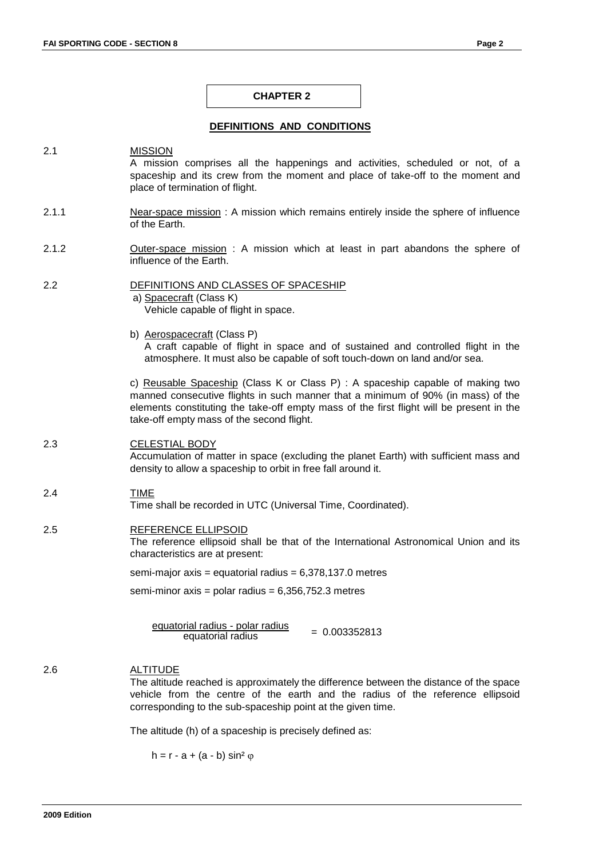#### **DEFINITIONS AND CONDITIONS**

#### 2.1 MISSION A mission comprises all the happenings and activities, scheduled or not, of a spaceship and its crew from the moment and place of take-off to the moment and place of termination of flight.

- 2.1.1 Near-space mission : A mission which remains entirely inside the sphere of influence of the Earth.
- 2.1.2 **Outer-space mission**: A mission which at least in part abandons the sphere of influence of the Earth.
- 2.2 DEFINITIONS AND CLASSES OF SPACESHIP a) Spacecraft (Class K) Vehicle capable of flight in space.
	- b) Aerospacecraft (Class P) A craft capable of flight in space and of sustained and controlled flight in the atmosphere. It must also be capable of soft touch-down on land and/or sea.

c) Reusable Spaceship (Class K or Class P) : A spaceship capable of making two manned consecutive flights in such manner that a minimum of 90% (in mass) of the elements constituting the take-off empty mass of the first flight will be present in the take-off empty mass of the second flight.

#### 2.3 CELESTIAL BODY

Accumulation of matter in space (excluding the planet Earth) with sufficient mass and density to allow a spaceship to orbit in free fall around it.

#### 2.4 TIME

Time shall be recorded in UTC (Universal Time, Coordinated).

#### 2.5 REFERENCE ELLIPSOID

The reference ellipsoid shall be that of the International Astronomical Union and its characteristics are at present:

semi-major axis = equatorial radius =  $6,378,137.0$  metres

semi-minor axis = polar radius =  $6,356,752.3$  metres

equatorial radius - polar radius  $\frac{1}{2}$  equatorial radius  $= 0.003352813$ 

#### 2.6 ALTITUDE

The altitude reached is approximately the difference between the distance of the space vehicle from the centre of the earth and the radius of the reference ellipsoid corresponding to the sub-spaceship point at the given time.

The altitude (h) of a spaceship is precisely defined as:

h =  $r - a + (a - b) \sin^2 \varphi$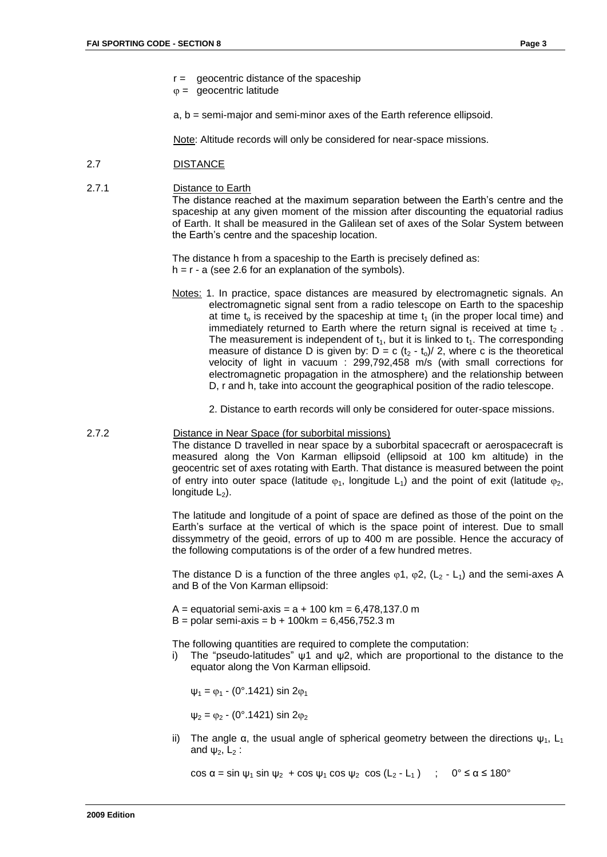$r =$  geocentric distance of the spaceship

 $\varphi =$  geocentric latitude

a, b = semi-major and semi-minor axes of the Earth reference ellipsoid.

Note: Altitude records will only be considered for near-space missions.

- 2.7 DISTANCE
- 2.7.1 Distance to Earth

The distance reached at the maximum separation between the Earth's centre and the spaceship at any given moment of the mission after discounting the equatorial radius of Earth. It shall be measured in the Galilean set of axes of the Solar System between the Earth's centre and the spaceship location.

The distance h from a spaceship to the Earth is precisely defined as:  $h = r - a$  (see 2.6 for an explanation of the symbols).

- Notes: 1. In practice, space distances are measured by electromagnetic signals. An electromagnetic signal sent from a radio telescope on Earth to the spaceship at time  $t_0$  is received by the spaceship at time  $t_1$  (in the proper local time) and immediately returned to Earth where the return signal is received at time  $t<sub>2</sub>$ . The measurement is independent of  $t_1$ , but it is linked to  $t_1$ . The corresponding measure of distance D is given by:  $D = c (t_2 - t_0)/2$ , where c is the theoretical velocity of light in vacuum : 299,792,458 m/s (with small corrections for electromagnetic propagation in the atmosphere) and the relationship between D, r and h, take into account the geographical position of the radio telescope.
	- 2. Distance to earth records will only be considered for outer-space missions.

#### 2.7.2 Distance in Near Space (for suborbital missions)

The distance D travelled in near space by a suborbital spacecraft or aerospacecraft is measured along the Von Karman ellipsoid (ellipsoid at 100 km altitude) in the geocentric set of axes rotating with Earth. That distance is measured between the point of entry into outer space (latitude  $\varphi_1$ , longitude L<sub>1</sub>) and the point of exit (latitude  $\varphi_2$ , longitude  $L_2$ ).

The latitude and longitude of a point of space are defined as those of the point on the Earth's surface at the vertical of which is the space point of interest. Due to small dissymmetry of the geoid, errors of up to 400 m are possible. Hence the accuracy of the following computations is of the order of a few hundred metres.

The distance D is a function of the three angles  $\varphi$ 1,  $\varphi$ 2, (L<sub>2</sub> - L<sub>1</sub>) and the semi-axes A and B of the Von Karman ellipsoid:

 $A =$  equatorial semi-axis =  $a + 100$  km = 6,478,137.0 m  $B =$  polar semi-axis =  $b + 100$ km = 6,456,752.3 m

The following quantities are required to complete the computation:

i) The "pseudo-latitudes"  $\psi$ 1 and  $\psi$ 2, which are proportional to the distance to the equator along the Von Karman ellipsoid.

 $\psi_1 = \varphi_1$  - (0°.1421) sin 2 $\varphi_1$ 

 $\psi_2 = \varphi_2$  - (0°.1421) sin 2 $\varphi_2$ 

ii) The angle α, the usual angle of spherical geometry between the directions  $ψ_1$ ,  $L_1$ and  $\psi_2$ ,  $L_2$  :

cos  $\alpha$  = sin  $\psi_1$  sin  $\psi_2$  + cos  $\psi_1$  cos  $\psi_2$  cos  $(L_2 - L_1)$ ;  $0^\circ \le \alpha \le 180^\circ$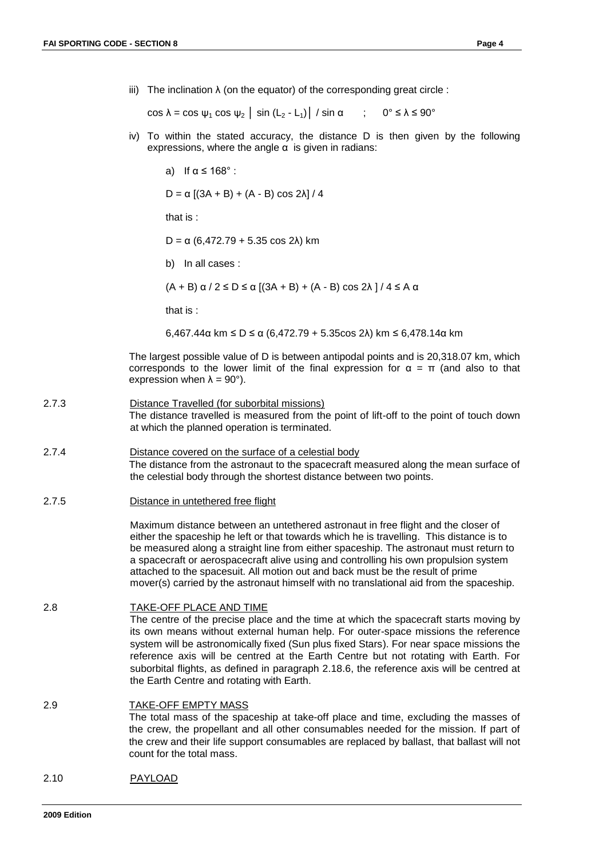iii) The inclination  $\lambda$  (on the equator) of the corresponding great circle :

cos  $\lambda = \cos \psi_1 \cos \psi_2$  | sin (L<sub>2</sub> - L<sub>1</sub>) | / sin  $\alpha$  ; 0°  $\le \lambda \le 90^\circ$ 

iv) To within the stated accuracy, the distance D is then given by the following expressions, where the angle  $\alpha$  is given in radians:

a) If  $\alpha \le 168^\circ$  :

 $D = \alpha [(3A + B) + (A - B) \cos 2λ] / 4$ 

that is :

 $D = \alpha$  (6,472.79 + 5.35 cos 2λ) km

b) In all cases :

 $(A + B)$  α / 2 ≤ D ≤ α [(3A + B) + (A - B) cos 2λ ] / 4 ≤ A α

that is :

6,467.44α km ≤ D ≤ α (6,472.79 + 5.35cos 2λ) km ≤ 6,478.14α km

The largest possible value of D is between antipodal points and is 20,318.07 km, which corresponds to the lower limit of the final expression for  $\alpha = \pi$  (and also to that expression when  $\lambda = 90^{\circ}$ ).

- 2.7.3 Distance Travelled (for suborbital missions) The distance travelled is measured from the point of lift-off to the point of touch down at which the planned operation is terminated.
- 2.7.4 Distance covered on the surface of a celestial body The distance from the astronaut to the spacecraft measured along the mean surface of the celestial body through the shortest distance between two points.
- 2.7.5 Distance in untethered free flight

Maximum distance between an untethered astronaut in free flight and the closer of either the spaceship he left or that towards which he is travelling. This distance is to be measured along a straight line from either spaceship. The astronaut must return to a spacecraft or aerospacecraft alive using and controlling his own propulsion system attached to the spacesuit. All motion out and back must be the result of prime mover(s) carried by the astronaut himself with no translational aid from the spaceship.

```
2.8 TAKE-OFF PLACE AND TIME
```
The centre of the precise place and the time at which the spacecraft starts moving by its own means without external human help. For outer-space missions the reference system will be astronomically fixed (Sun plus fixed Stars). For near space missions the reference axis will be centred at the Earth Centre but not rotating with Earth. For suborbital flights, as defined in paragraph 2.18.6, the reference axis will be centred at the Earth Centre and rotating with Earth.

```
2.9 TAKE-OFF EMPTY MASS
      The total mass of the spaceship at take-off place and time, excluding the masses of 
      the crew, the propellant and all other consumables needed for the mission. If part of 
      the crew and their life support consumables are replaced by ballast, that ballast will not 
      count for the total mass.
```
2.10 PAYLOAD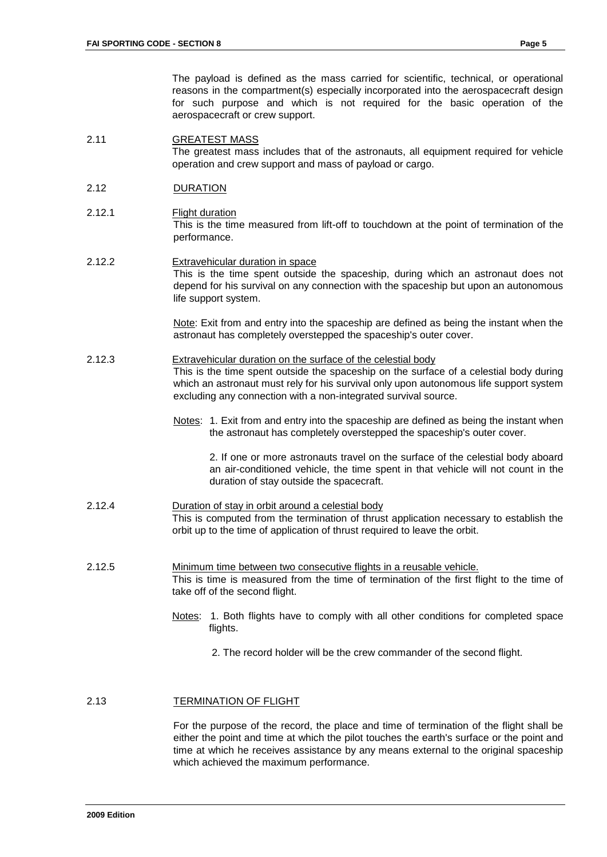The payload is defined as the mass carried for scientific, technical, or operational reasons in the compartment(s) especially incorporated into the aerospacecraft design for such purpose and which is not required for the basic operation of the aerospacecraft or crew support.

2.11 GREATEST MASS The greatest mass includes that of the astronauts, all equipment required for vehicle operation and crew support and mass of payload or cargo.

#### 2.12 DURATION

- 2.12.1 Flight duration This is the time measured from lift-off to touchdown at the point of termination of the performance.
- 2.12.2 Extravehicular duration in space This is the time spent outside the spaceship, during which an astronaut does not depend for his survival on any connection with the spaceship but upon an autonomous life support system.

Note: Exit from and entry into the spaceship are defined as being the instant when the astronaut has completely overstepped the spaceship's outer cover.

2.12.3 Extravehicular duration on the surface of the celestial body

This is the time spent outside the spaceship on the surface of a celestial body during which an astronaut must rely for his survival only upon autonomous life support system excluding any connection with a non-integrated survival source.

Notes: 1. Exit from and entry into the spaceship are defined as being the instant when the astronaut has completely overstepped the spaceship's outer cover.

2. If one or more astronauts travel on the surface of the celestial body aboard an air-conditioned vehicle, the time spent in that vehicle will not count in the duration of stay outside the spacecraft.

- 2.12.4 Duration of stay in orbit around a celestial body This is computed from the termination of thrust application necessary to establish the orbit up to the time of application of thrust required to leave the orbit.
- 2.12.5 Minimum time between two consecutive flights in a reusable vehicle. This is time is measured from the time of termination of the first flight to the time of take off of the second flight.
	- Notes: 1. Both flights have to comply with all other conditions for completed space flights.
		- 2. The record holder will be the crew commander of the second flight.

#### 2.13 TERMINATION OF FLIGHT

For the purpose of the record, the place and time of termination of the flight shall be either the point and time at which the pilot touches the earth's surface or the point and time at which he receives assistance by any means external to the original spaceship which achieved the maximum performance.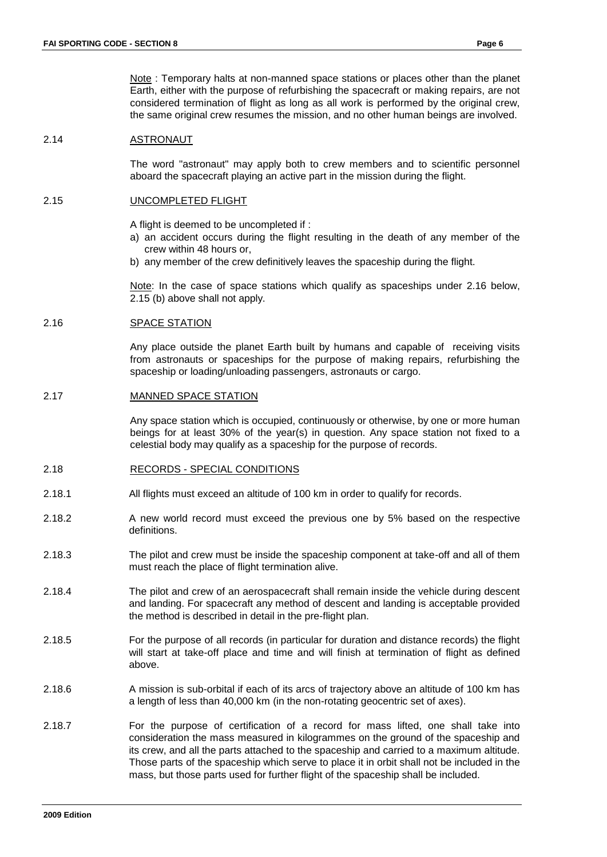Note : Temporary halts at non-manned space stations or places other than the planet Earth, either with the purpose of refurbishing the spacecraft or making repairs, are not considered termination of flight as long as all work is performed by the original crew, the same original crew resumes the mission, and no other human beings are involved.

#### 2.14 ASTRONAUT

The word "astronaut" may apply both to crew members and to scientific personnel aboard the spacecraft playing an active part in the mission during the flight.

#### 2.15 UNCOMPLETED FLIGHT

A flight is deemed to be uncompleted if :

- a) an accident occurs during the flight resulting in the death of any member of the crew within 48 hours or,
- b) any member of the crew definitively leaves the spaceship during the flight.

Note: In the case of space stations which qualify as spaceships under 2.16 below, 2.15 (b) above shall not apply.

#### 2.16 SPACE STATION

Any place outside the planet Earth built by humans and capable of receiving visits from astronauts or spaceships for the purpose of making repairs, refurbishing the spaceship or loading/unloading passengers, astronauts or cargo.

#### 2.17 MANNED SPACE STATION

Any space station which is occupied, continuously or otherwise, by one or more human beings for at least 30% of the year(s) in question. Any space station not fixed to a celestial body may qualify as a spaceship for the purpose of records.

#### 2.18 RECORDS - SPECIAL CONDITIONS

- 2.18.1 All flights must exceed an altitude of 100 km in order to qualify for records.
- 2.18.2 A new world record must exceed the previous one by 5% based on the respective definitions.
- 2.18.3 The pilot and crew must be inside the spaceship component at take-off and all of them must reach the place of flight termination alive.
- 2.18.4 The pilot and crew of an aerospacecraft shall remain inside the vehicle during descent and landing. For spacecraft any method of descent and landing is acceptable provided the method is described in detail in the pre-flight plan.
- 2.18.5 For the purpose of all records (in particular for duration and distance records) the flight will start at take-off place and time and will finish at termination of flight as defined above.
- 2.18.6 A mission is sub-orbital if each of its arcs of trajectory above an altitude of 100 km has a length of less than 40,000 km (in the non-rotating geocentric set of axes).
- 2.18.7 For the purpose of certification of a record for mass lifted, one shall take into consideration the mass measured in kilogrammes on the ground of the spaceship and its crew, and all the parts attached to the spaceship and carried to a maximum altitude. Those parts of the spaceship which serve to place it in orbit shall not be included in the mass, but those parts used for further flight of the spaceship shall be included.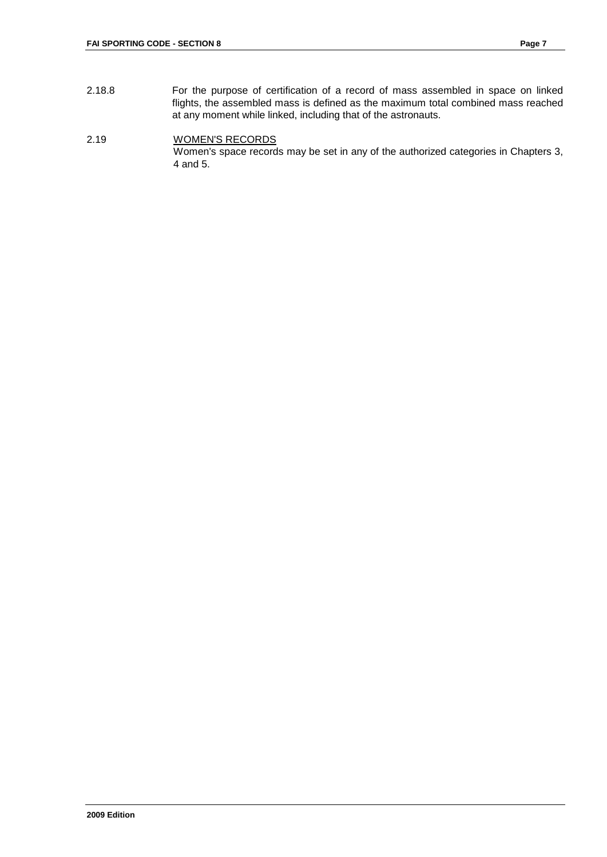2.18.8 For the purpose of certification of a record of mass assembled in space on linked flights, the assembled mass is defined as the maximum total combined mass reached at any moment while linked, including that of the astronauts.

#### 2.19 WOMEN'S RECORDS Women's space records may be set in any of the authorized categories in Chapters 3, 4 and 5.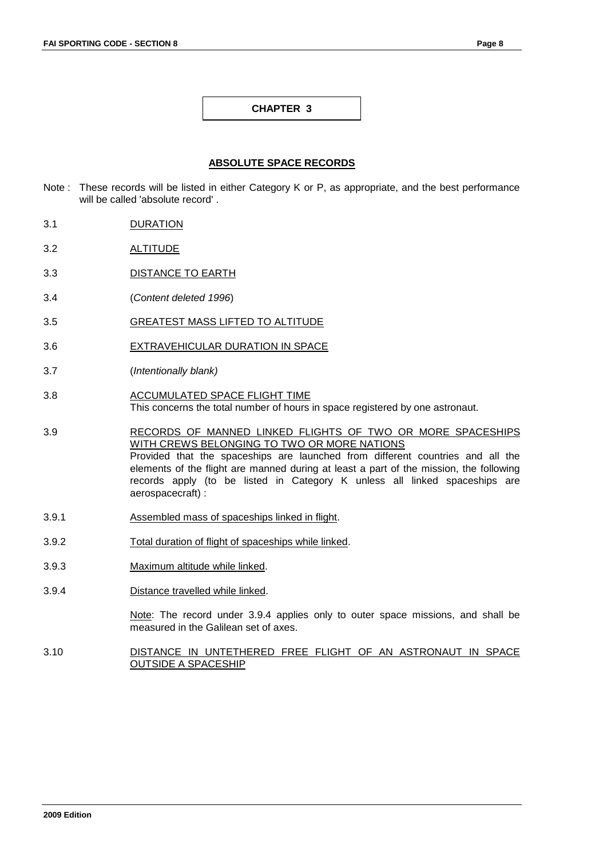#### **ABSOLUTE SPACE RECORDS**

- Note : These records will be listed in either Category K or P, as appropriate, and the best performance will be called 'absolute record' .
- 3.1 DURATION
- 3.2 ALTITUDE
- 3.3 DISTANCE TO EARTH
- 3.4 (*Content deleted 1996*)
- 3.5 GREATEST MASS LIFTED TO ALTITUDE
- 3.6 EXTRAVEHICULAR DURATION IN SPACE
- 3.7 (*Intentionally blank)*
- 3.8 ACCUMULATED SPACE FLIGHT TIME This concerns the total number of hours in space registered by one astronaut.
- 3.9 RECORDS OF MANNED LINKED FLIGHTS OF TWO OR MORE SPACESHIPS WITH CREWS BELONGING TO TWO OR MORE NATIONS Provided that the spaceships are launched from different countries and all the elements of the flight are manned during at least a part of the mission, the following records apply (to be listed in Category K unless all linked spaceships are aerospacecraft) :
- 3.9.1 Assembled mass of spaceships linked in flight.
- 3.9.2 Total duration of flight of spaceships while linked.
- 3.9.3 Maximum altitude while linked.
- 3.9.4 Distance travelled while linked.

Note: The record under 3.9.4 applies only to outer space missions, and shall be measured in the Galilean set of axes.

3.10 DISTANCE IN UNTETHERED FREE FLIGHT OF AN ASTRONAUT IN SPACE OUTSIDE A SPACESHIP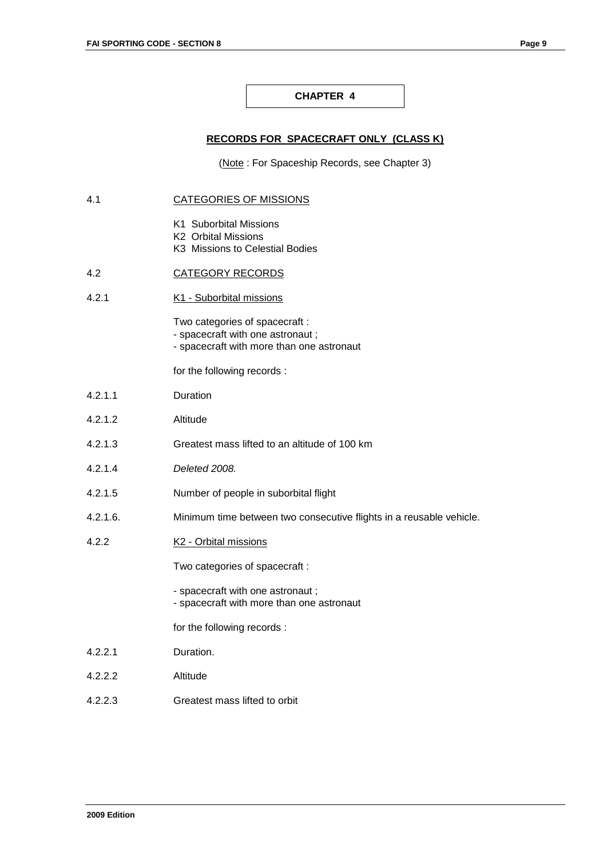#### **RECORDS FOR SPACECRAFT ONLY (CLASS K)**

(Note : For Spaceship Records, see Chapter 3)

#### 4.1 CATEGORIES OF MISSIONS

- K1 Suborbital Missions
- K2 Orbital Missions
- K3 Missions to Celestial Bodies

#### 4.2 CATEGORY RECORDS

4.2.1 K1 - Suborbital missions

Two categories of spacecraft :

- spacecraft with one astronaut ;

- spacecraft with more than one astronaut

for the following records :

- 4.2.1.1 Duration
- 4.2.1.2 Altitude
- 4.2.1.3 Greatest mass lifted to an altitude of 100 km
- 4.2.1.4 *Deleted 2008.*
- 4.2.1.5 Number of people in suborbital flight
- 4.2.1.6. Minimum time between two consecutive flights in a reusable vehicle.
- 4.2.2 K2 Orbital missions

Two categories of spacecraft :

- spacecraft with one astronaut ; - spacecraft with more than one astronaut
- for the following records :
- 4.2.2.1 Duration.
- 4.2.2.2 Altitude
- 4.2.2.3 Greatest mass lifted to orbit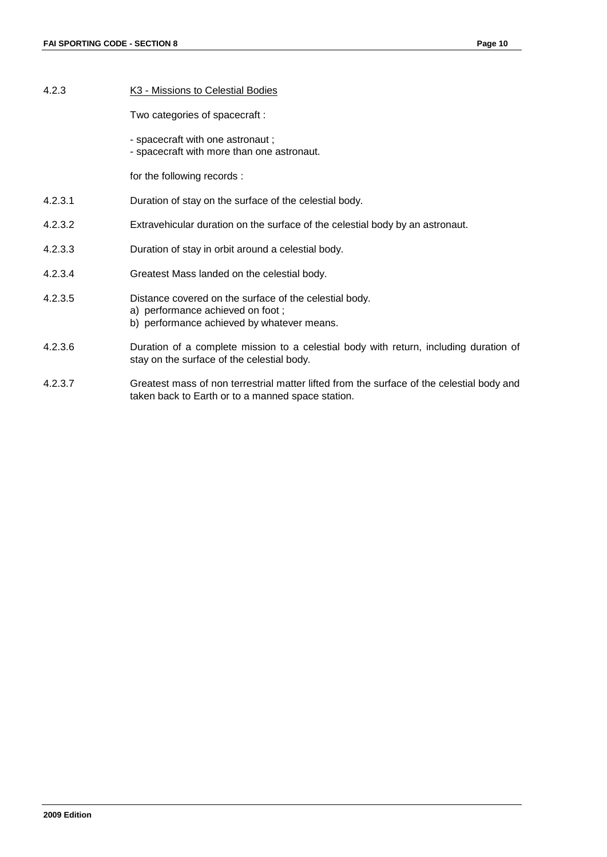4.2.3 K3 - Missions to Celestial Bodies Two categories of spacecraft : - spacecraft with one astronaut ; - spacecraft with more than one astronaut. for the following records : 4.2.3.1 Duration of stay on the surface of the celestial body. 4.2.3.2 Extravehicular duration on the surface of the celestial body by an astronaut. 4.2.3.3 Duration of stay in orbit around a celestial body. 4.2.3.4 Greatest Mass landed on the celestial body. 4.2.3.5 Distance covered on the surface of the celestial body. a) performance achieved on foot ; b) performance achieved by whatever means. 4.2.3.6 Duration of a complete mission to a celestial body with return, including duration of stay on the surface of the celestial body. 4.2.3.7 Greatest mass of non terrestrial matter lifted from the surface of the celestial body and taken back to Earth or to a manned space station.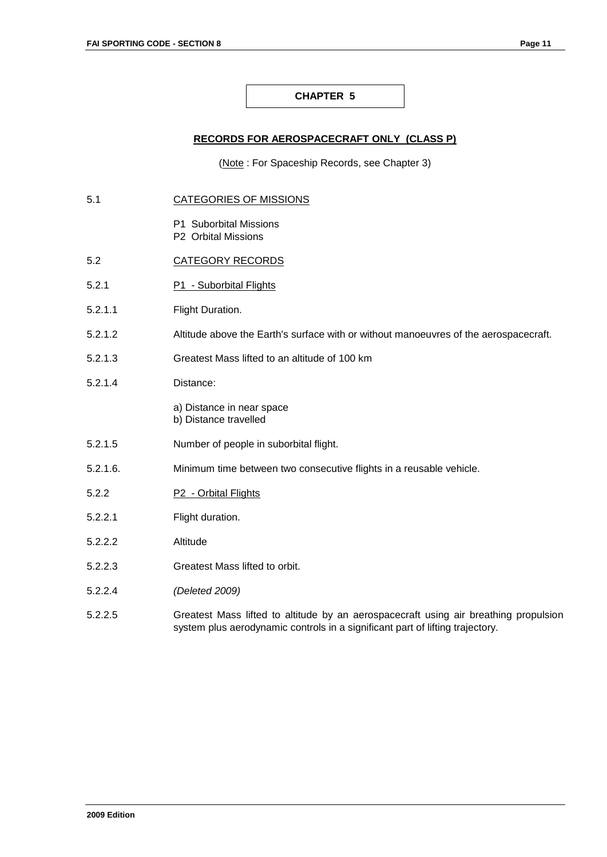#### **RECORDS FOR AEROSPACECRAFT ONLY (CLASS P)**

(Note : For Spaceship Records, see Chapter 3)

- 5.1 CATEGORIES OF MISSIONS
	- P1 Suborbital Missions
	- P2 Orbital Missions
- 5.2 CATEGORY RECORDS
- 5.2.1 P1 Suborbital Flights
- 5.2.1.1 Flight Duration.
- 5.2.1.2 Altitude above the Earth's surface with or without manoeuvres of the aerospacecraft.
- 5.2.1.3 Greatest Mass lifted to an altitude of 100 km
- 5.2.1.4 Distance:
	- a) Distance in near space
	- b) Distance travelled
- 5.2.1.5 Number of people in suborbital flight.
- 5.2.1.6. Minimum time between two consecutive flights in a reusable vehicle.
- 5.2.2 P2 Orbital Flights
- 5.2.2.1 Flight duration.
- 5.2.2.2 Altitude
- 5.2.2.3 Greatest Mass lifted to orbit.
- 5.2.2.4 *(Deleted 2009)*
- 5.2.2.5 Greatest Mass lifted to altitude by an aerospacecraft using air breathing propulsion system plus aerodynamic controls in a significant part of lifting trajectory.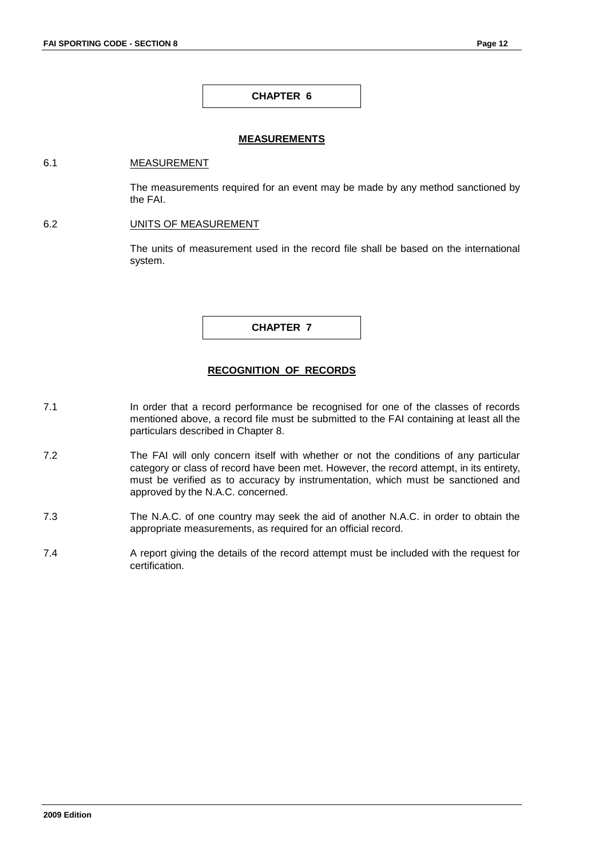#### **MEASUREMENTS**

#### 6.1 MEASUREMENT

The measurements required for an event may be made by any method sanctioned by the FAI.

#### 6.2 UNITS OF MEASUREMENT

The units of measurement used in the record file shall be based on the international system.

**CHAPTER 7**

#### **RECOGNITION OF RECORDS**

- 7.1 In order that a record performance be recognised for one of the classes of records mentioned above, a record file must be submitted to the FAI containing at least all the particulars described in Chapter 8.
- 7.2 The FAI will only concern itself with whether or not the conditions of any particular category or class of record have been met. However, the record attempt, in its entirety, must be verified as to accuracy by instrumentation, which must be sanctioned and approved by the N.A.C. concerned.
- 7.3 The N.A.C. of one country may seek the aid of another N.A.C. in order to obtain the appropriate measurements, as required for an official record.
- 7.4 A report giving the details of the record attempt must be included with the request for certification.